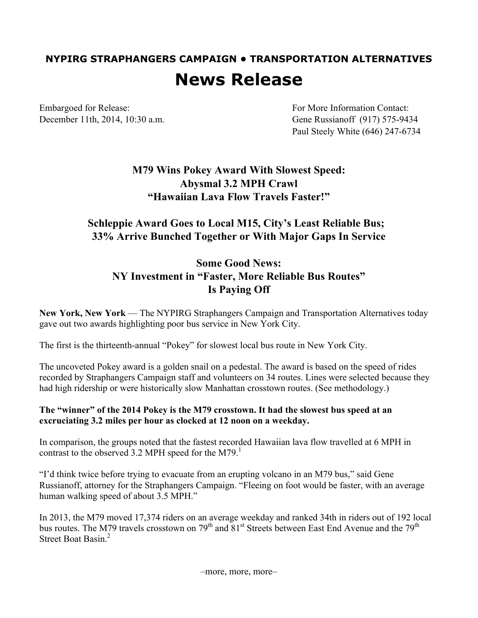# **NYPIRG STRAPHANGERS CAMPAIGN • TRANSPORTATION ALTERNATIVES News Release**

Embargoed for Release: For More Information Contact:

December 11th, 2014, 10:30 a.m. Gene Russianoff (917) 575-9434 Paul Steely White (646) 247-6734

## **M79 Wins Pokey Award With Slowest Speed: Abysmal 3.2 MPH Crawl "Hawaiian Lava Flow Travels Faster!"**

### **Schleppie Award Goes to Local M15, City's Least Reliable Bus; 33% Arrive Bunched Together or With Major Gaps In Service**

## **Some Good News: NY Investment in "Faster, More Reliable Bus Routes" Is Paying Off**

**New York, New York** — The NYPIRG Straphangers Campaign and Transportation Alternatives today gave out two awards highlighting poor bus service in New York City.

The first is the thirteenth-annual "Pokey" for slowest local bus route in New York City.

The uncoveted Pokey award is a golden snail on a pedestal. The award is based on the speed of rides recorded by Straphangers Campaign staff and volunteers on 34 routes. Lines were selected because they had high ridership or were historically slow Manhattan crosstown routes. (See methodology.)

### **The "winner" of the 2014 Pokey is the M79 crosstown. It had the slowest bus speed at an excruciating 3.2 miles per hour as clocked at 12 noon on a weekday.**

In comparison, the groups noted that the fastest recorded Hawaiian lava flow travelled at 6 MPH in contrast to the observed 3.2 MPH speed for the M79.<sup>1</sup>

"I'd think twice before trying to evacuate from an erupting volcano in an M79 bus," said Gene Russianoff, attorney for the Straphangers Campaign. "Fleeing on foot would be faster, with an average human walking speed of about 3.5 MPH."

In 2013, the M79 moved 17,374 riders on an average weekday and ranked 34th in riders out of 192 local bus routes. The M79 travels crosstown on 79<sup>th</sup> and 81<sup>st</sup> Streets between East End Avenue and the 79<sup>th</sup> Street Boat Basin<sup>2</sup>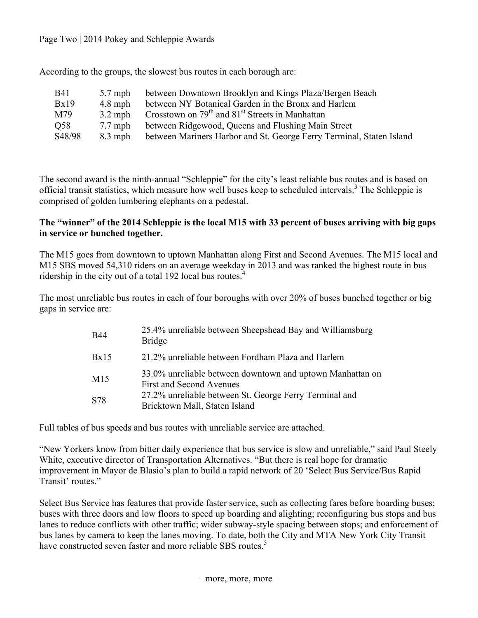Page Two | 2014 Pokey and Schleppie Awards

According to the groups, the slowest bus routes in each borough are:

| <b>B41</b> | $5.7$ mph | between Downtown Brooklyn and Kings Plaza/Bergen Beach                  |
|------------|-----------|-------------------------------------------------------------------------|
| Bx19       | $4.8$ mph | between NY Botanical Garden in the Bronx and Harlem                     |
| M79        | $3.2$ mph | Crosstown on 79 <sup>th</sup> and 81 <sup>st</sup> Streets in Manhattan |
| Q58        | $7.7$ mph | between Ridgewood, Queens and Flushing Main Street                      |
| S48/98     | $8.3$ mph | between Mariners Harbor and St. George Ferry Terminal, Staten Island    |

The second award is the ninth-annual "Schleppie" for the city's least reliable bus routes and is based on official transit statistics, which measure how well buses keep to scheduled intervals.<sup>3</sup> The Schleppie is comprised of golden lumbering elephants on a pedestal.

### **The "winner" of the 2014 Schleppie is the local M15 with 33 percent of buses arriving with big gaps in service or bunched together.**

The M15 goes from downtown to uptown Manhattan along First and Second Avenues. The M15 local and M15 SBS moved 54,310 riders on an average weekday in 2013 and was ranked the highest route in bus ridership in the city out of a total 192 local bus routes.<sup>4</sup>

The most unreliable bus routes in each of four boroughs with over 20% of buses bunched together or big gaps in service are:

| <b>B44</b>      | 25.4% unreliable between Sheepshead Bay and Williamsburg<br><b>Bridge</b>                    |
|-----------------|----------------------------------------------------------------------------------------------|
| Bx15            | 21.2% unreliable between Fordham Plaza and Harlem                                            |
| M <sub>15</sub> | 33.0% unreliable between downtown and uptown Manhattan on<br><b>First and Second Avenues</b> |
| S78             | 27.2% unreliable between St. George Ferry Terminal and<br>Bricktown Mall, Staten Island      |

Full tables of bus speeds and bus routes with unreliable service are attached.

"New Yorkers know from bitter daily experience that bus service is slow and unreliable," said Paul Steely White, executive director of Transportation Alternatives. "But there is real hope for dramatic improvement in Mayor de Blasio's plan to build a rapid network of 20 'Select Bus Service/Bus Rapid Transit' routes."

Select Bus Service has features that provide faster service, such as collecting fares before boarding buses; buses with three doors and low floors to speed up boarding and alighting; reconfiguring bus stops and bus lanes to reduce conflicts with other traffic; wider subway-style spacing between stops; and enforcement of bus lanes by camera to keep the lanes moving. To date, both the City and MTA New York City Transit have constructed seven faster and more reliable SBS routes.<sup>5</sup>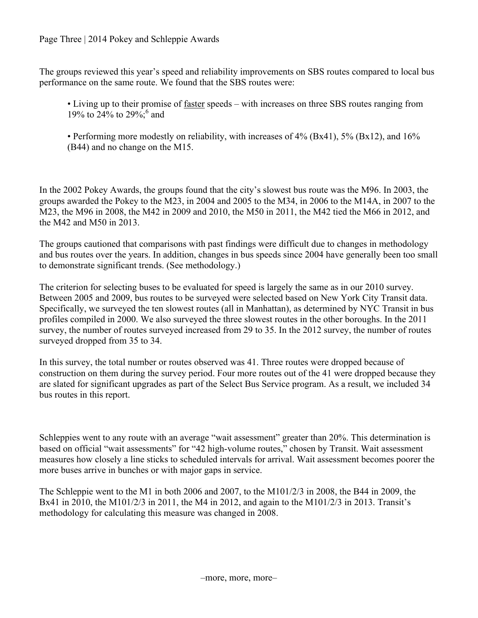Page Three | 2014 Pokey and Schleppie Awards

The groups reviewed this year's speed and reliability improvements on SBS routes compared to local bus performance on the same route. We found that the SBS routes were:

• Living up to their promise of faster speeds – with increases on three SBS routes ranging from 19% to 24% to 29%; and

• Performing more modestly on reliability, with increases of 4% (Bx41), 5% (Bx12), and 16% (B44) and no change on the M15.

In the 2002 Pokey Awards, the groups found that the city's slowest bus route was the M96. In 2003, the groups awarded the Pokey to the M23, in 2004 and 2005 to the M34, in 2006 to the M14A, in 2007 to the M23, the M96 in 2008, the M42 in 2009 and 2010, the M50 in 2011, the M42 tied the M66 in 2012, and the M42 and M50 in 2013.

The groups cautioned that comparisons with past findings were difficult due to changes in methodology and bus routes over the years. In addition, changes in bus speeds since 2004 have generally been too small to demonstrate significant trends. (See methodology.)

The criterion for selecting buses to be evaluated for speed is largely the same as in our 2010 survey. Between 2005 and 2009, bus routes to be surveyed were selected based on New York City Transit data. Specifically, we surveyed the ten slowest routes (all in Manhattan), as determined by NYC Transit in bus profiles compiled in 2000. We also surveyed the three slowest routes in the other boroughs. In the 2011 survey, the number of routes surveyed increased from 29 to 35. In the 2012 survey, the number of routes surveyed dropped from 35 to 34.

In this survey, the total number or routes observed was 41. Three routes were dropped because of construction on them during the survey period. Four more routes out of the 41 were dropped because they are slated for significant upgrades as part of the Select Bus Service program. As a result, we included 34 bus routes in this report.

Schleppies went to any route with an average "wait assessment" greater than 20%. This determination is based on official "wait assessments" for "42 high-volume routes," chosen by Transit. Wait assessment measures how closely a line sticks to scheduled intervals for arrival. Wait assessment becomes poorer the more buses arrive in bunches or with major gaps in service.

The Schleppie went to the M1 in both 2006 and 2007, to the M101/2/3 in 2008, the B44 in 2009, the Bx41 in 2010, the M101/2/3 in 2011, the M4 in 2012, and again to the M101/2/3 in 2013. Transit's methodology for calculating this measure was changed in 2008.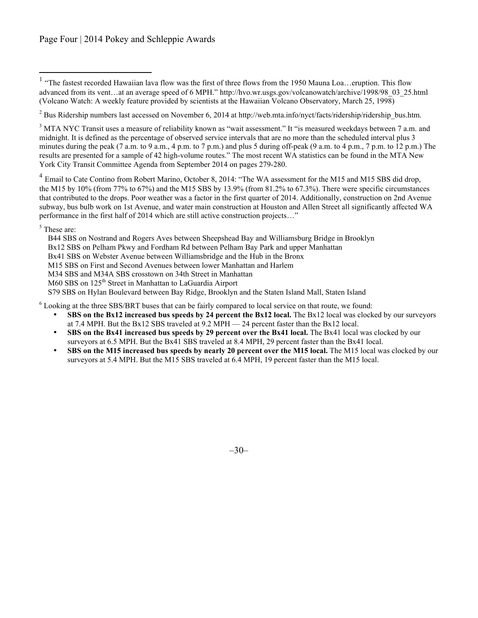$2$  Bus Ridership numbers last accessed on November 6, 2014 at http://web.mta.info/nyct/facts/ridership/ridership\_bus.htm.

<sup>3</sup> MTA NYC Transit uses a measure of reliability known as "wait assessment." It "is measured weekdays between 7 a.m. and midnight. It is defined as the percentage of observed service intervals that are no more than the scheduled interval plus 3 minutes during the peak (7 a.m. to 9 a.m., 4 p.m. to 7 p.m.) and plus 5 during off-peak (9 a.m. to 4 p.m., 7 p.m. to 12 p.m.) The results are presented for a sample of 42 high-volume routes." The most recent WA statistics can be found in the MTA New York City Transit Committee Agenda from September 2014 on pages 279-280.

<sup>4</sup> Email to Cate Contino from Robert Marino, October 8, 2014: "The WA assessment for the M15 and M15 SBS did drop, the M15 by 10% (from 77% to 67%) and the M15 SBS by 13.9% (from 81.2% to 67.3%). There were specific circumstances that contributed to the drops. Poor weather was a factor in the first quarter of 2014. Additionally, construction on 2nd Avenue subway, bus bulb work on 1st Avenue, and water main construction at Houston and Allen Street all significantly affected WA performance in the first half of 2014 which are still active construction projects…"

<sup>5</sup> These are:

B44 SBS on Nostrand and Rogers Aves between Sheepshead Bay and Williamsburg Bridge in Brooklyn

Bx12 SBS on Pelham Pkwy and Fordham Rd between Pelham Bay Park and upper Manhattan

Bx41 SBS on Webster Avenue between Williamsbridge and the Hub in the Bronx

M15 SBS on First and Second Avenues between lower Manhattan and Harlem

M34 SBS and M34A SBS crosstown on 34th Street in Manhattan

M60 SBS on 125<sup>th</sup> Street in Manhattan to LaGuardia Airport

S79 SBS on Hylan Boulevard between Bay Ridge, Brooklyn and the Staten Island Mall, Staten Island

<sup>6</sup> Looking at the three SBS/BRT buses that can be fairly compared to local service on that route, we found:

- **SBS on the Bx12 increased bus speeds by 24 percent the Bx12 local.** The Bx12 local was clocked by our surveyors at 7.4 MPH. But the Bx12 SBS traveled at 9.2 MPH — 24 percent faster than the Bx12 local.
- **SBS on the Bx41 increased bus speeds by 29 percent over the Bx41 local.** The Bx41 local was clocked by our surveyors at 6.5 MPH. But the Bx41 SBS traveled at 8.4 MPH, 29 percent faster than the Bx41 local.
- **SBS on the M15 increased bus speeds by nearly 20 percent over the M15 local.** The M15 local was clocked by our surveyors at 5.4 MPH. But the M15 SBS traveled at 6.4 MPH, 19 percent faster than the M15 local.

–30–

<sup>&</sup>lt;sup>1</sup> "The fastest recorded Hawaiian lava flow was the first of three flows from the 1950 Mauna Loa...eruption. This flow advanced from its vent…at an average speed of 6 MPH." http://hvo.wr.usgs.gov/volcanowatch/archive/1998/98\_03\_25.html (Volcano Watch: A weekly feature provided by scientists at the Hawaiian Volcano Observatory, March 25, 1998)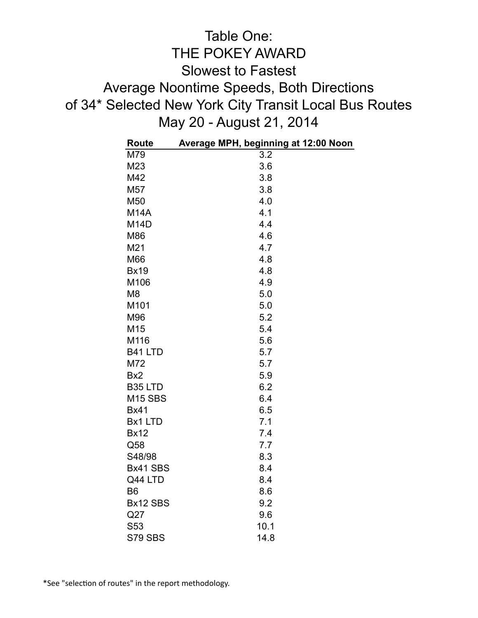## Table One: THE POKEY AWARD Slowest to Fastest Average Noontime Speeds, Both Directions of 34\* Selected New York City Transit Local Bus Routes May 20 - August 21, 2014

| <b>Route</b>        | Average MPH, beginning at 12:00 Noon |
|---------------------|--------------------------------------|
| M79                 | 3.2                                  |
| M23                 | 3.6                                  |
| M42                 | 3.8                                  |
| M57                 | 3.8                                  |
| M50                 | 4.0                                  |
| <b>M14A</b>         | 4.1                                  |
| M <sub>14</sub> D   | 4.4                                  |
| M86                 | 4.6                                  |
| M21                 | 4.7                                  |
| M66                 | 4.8                                  |
| <b>Bx19</b>         | 4.8                                  |
| M106                | 4.9                                  |
| M <sub>8</sub>      | 5.0                                  |
| M101                | 5.0                                  |
| M96                 | 5.2                                  |
| M15                 | 5.4                                  |
| M116                | 5.6                                  |
| B41 LTD             | 5.7                                  |
| M72                 | 5.7                                  |
| Bx <sub>2</sub>     | 5.9                                  |
| B <sub>35</sub> LTD | 6.2                                  |
| <b>M15 SBS</b>      | 6.4                                  |
| <b>Bx41</b>         | 6.5                                  |
| Bx1 LTD             | 7.1                                  |
| <b>Bx12</b>         | 7.4                                  |
| Q58                 | 7.7                                  |
| S48/98              | 8.3                                  |
| Bx41 SBS            | 8.4                                  |
| Q44 LTD             | 8.4                                  |
| B <sub>6</sub>      | 8.6                                  |
| Bx12 SBS            | 9.2                                  |
| Q27                 | 9.6                                  |
| S53                 | 10.1                                 |
| S79 SBS             | 14.8                                 |

\*See "selection of routes" in the report methodology.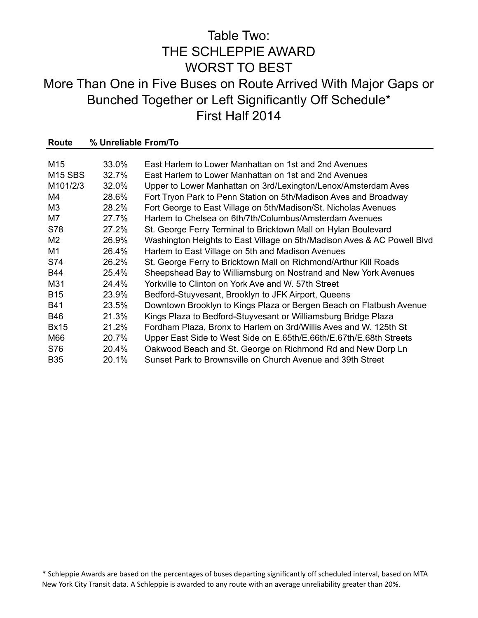## Table Two: THE SCHLEPPIE AWARD WORST TO BEST More Than One in Five Buses on Route Arrived With Major Gaps or Bunched Together or Left Significantly Off Schedule\* First Half 2014

| Route           | % Unreliable From/To |                                                                         |
|-----------------|----------------------|-------------------------------------------------------------------------|
|                 |                      |                                                                         |
| M <sub>15</sub> | 33.0%                | East Harlem to Lower Manhattan on 1st and 2nd Avenues                   |
| <b>M15 SBS</b>  | 32.7%                | East Harlem to Lower Manhattan on 1st and 2nd Avenues                   |
| M101/2/3        | 32.0%                | Upper to Lower Manhattan on 3rd/Lexington/Lenox/Amsterdam Aves          |
| M4              | 28.6%                | Fort Tryon Park to Penn Station on 5th/Madison Aves and Broadway        |
| M <sub>3</sub>  | 28.2%                | Fort George to East Village on 5th/Madison/St. Nicholas Avenues         |
| M7              | 27.7%                | Harlem to Chelsea on 6th/7th/Columbus/Amsterdam Avenues                 |
| S78             | 27.2%                | St. George Ferry Terminal to Bricktown Mall on Hylan Boulevard          |
| M <sub>2</sub>  | 26.9%                | Washington Heights to East Village on 5th/Madison Aves & AC Powell Blvd |
| M1              | 26.4%                | Harlem to East Village on 5th and Madison Avenues                       |
| S74             | 26.2%                | St. George Ferry to Bricktown Mall on Richmond/Arthur Kill Roads        |
| <b>B44</b>      | 25.4%                | Sheepshead Bay to Williamsburg on Nostrand and New York Avenues         |
| M31             | 24.4%                | Yorkville to Clinton on York Ave and W, 57th Street                     |
| <b>B15</b>      | 23.9%                | Bedford-Stuyvesant, Brooklyn to JFK Airport, Queens                     |
| <b>B41</b>      | 23.5%                | Downtown Brooklyn to Kings Plaza or Bergen Beach on Flatbush Avenue     |
| <b>B46</b>      | 21.3%                | Kings Plaza to Bedford-Stuyvesant or Williamsburg Bridge Plaza          |
| <b>Bx15</b>     | 21.2%                | Fordham Plaza, Bronx to Harlem on 3rd/Willis Aves and W. 125th St       |
| M66             | 20.7%                | Upper East Side to West Side on E.65th/E.66th/E.67th/E.68th Streets     |
| S76             | 20.4%                | Oakwood Beach and St. George on Richmond Rd and New Dorp Ln             |
| <b>B35</b>      | 20.1%                | Sunset Park to Brownsville on Church Avenue and 39th Street             |

\* Schleppie Awards are based on the percentages of buses departing significantly off scheduled interval, based on MTA New York City Transit data. A Schleppie is awarded to any route with an average unreliability greater than 20%.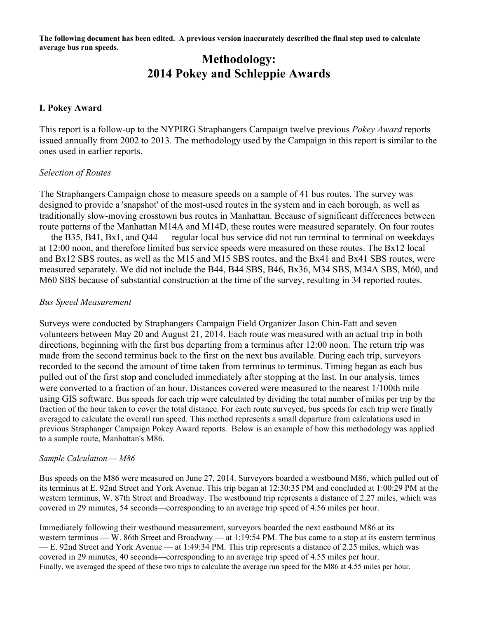**The following document has been edited. A previous version inaccurately described the final step used to calculate average bus run speeds.**

## **Methodology: 2014 Pokey and Schleppie Awards**

### **I. Pokey Award**

This report is a follow-up to the NYPIRG Straphangers Campaign twelve previous *Pokey Award* reports issued annually from 2002 to 2013. The methodology used by the Campaign in this report is similar to the ones used in earlier reports.

### *Selection of Routes*

The Straphangers Campaign chose to measure speeds on a sample of 41 bus routes. The survey was designed to provide a 'snapshot' of the most-used routes in the system and in each borough, as well as traditionally slow-moving crosstown bus routes in Manhattan. Because of significant differences between route patterns of the Manhattan M14A and M14D, these routes were measured separately. On four routes — the B35, B41, Bx1, and Q44 — regular local bus service did not run terminal to terminal on weekdays at 12:00 noon, and therefore limited bus service speeds were measured on these routes. The Bx12 local and Bx12 SBS routes, as well as the M15 and M15 SBS routes, and the Bx41 and Bx41 SBS routes, were measured separately. We did not include the B44, B44 SBS, B46, Bx36, M34 SBS, M34A SBS, M60, and M60 SBS because of substantial construction at the time of the survey, resulting in 34 reported routes.

### *Bus Speed Measurement*

Surveys were conducted by Straphangers Campaign Field Organizer Jason Chin-Fatt and seven volunteers between May 20 and August 21, 2014. Each route was measured with an actual trip in both directions, beginning with the first bus departing from a terminus after 12:00 noon. The return trip was made from the second terminus back to the first on the next bus available. During each trip, surveyors recorded to the second the amount of time taken from terminus to terminus. Timing began as each bus pulled out of the first stop and concluded immediately after stopping at the last. In our analysis, times were converted to a fraction of an hour. Distances covered were measured to the nearest 1/100th mile using GIS software. Bus speeds for each trip were calculated by dividing the total number of miles per trip by the fraction of the hour taken to cover the total distance. For each route surveyed, bus speeds for each trip were finally averaged to calculate the overall run speed. This method represents a small departure from calculations used in previous Straphanger Campaign Pokey Award reports. Below is an example of how this methodology was applied to a sample route, Manhattan's M86.

#### *Sample Calculation — M86*

Bus speeds on the M86 were measured on June 27, 2014. Surveyors boarded a westbound M86, which pulled out of its terminus at E. 92nd Street and York Avenue. This trip began at 12:30:35 PM and concluded at 1:00:29 PM at the western terminus, W. 87th Street and Broadway. The westbound trip represents a distance of 2.27 miles, which was covered in 29 minutes, 54 seconds—corresponding to an average trip speed of 4.56 miles per hour.

Immediately following their westbound measurement, surveyors boarded the next eastbound M86 at its western terminus — W. 86th Street and Broadway — at 1:19:54 PM. The bus came to a stop at its eastern terminus — E. 92nd Street and York Avenue — at 1:49:34 PM. This trip represents a distance of 2.25 miles, which was covered in 29 minutes, 40 seconds**—**corresponding to an average trip speed of 4.55 miles per hour. Finally, we averaged the speed of these two trips to calculate the average run speed for the M86 at 4.55 miles per hour.